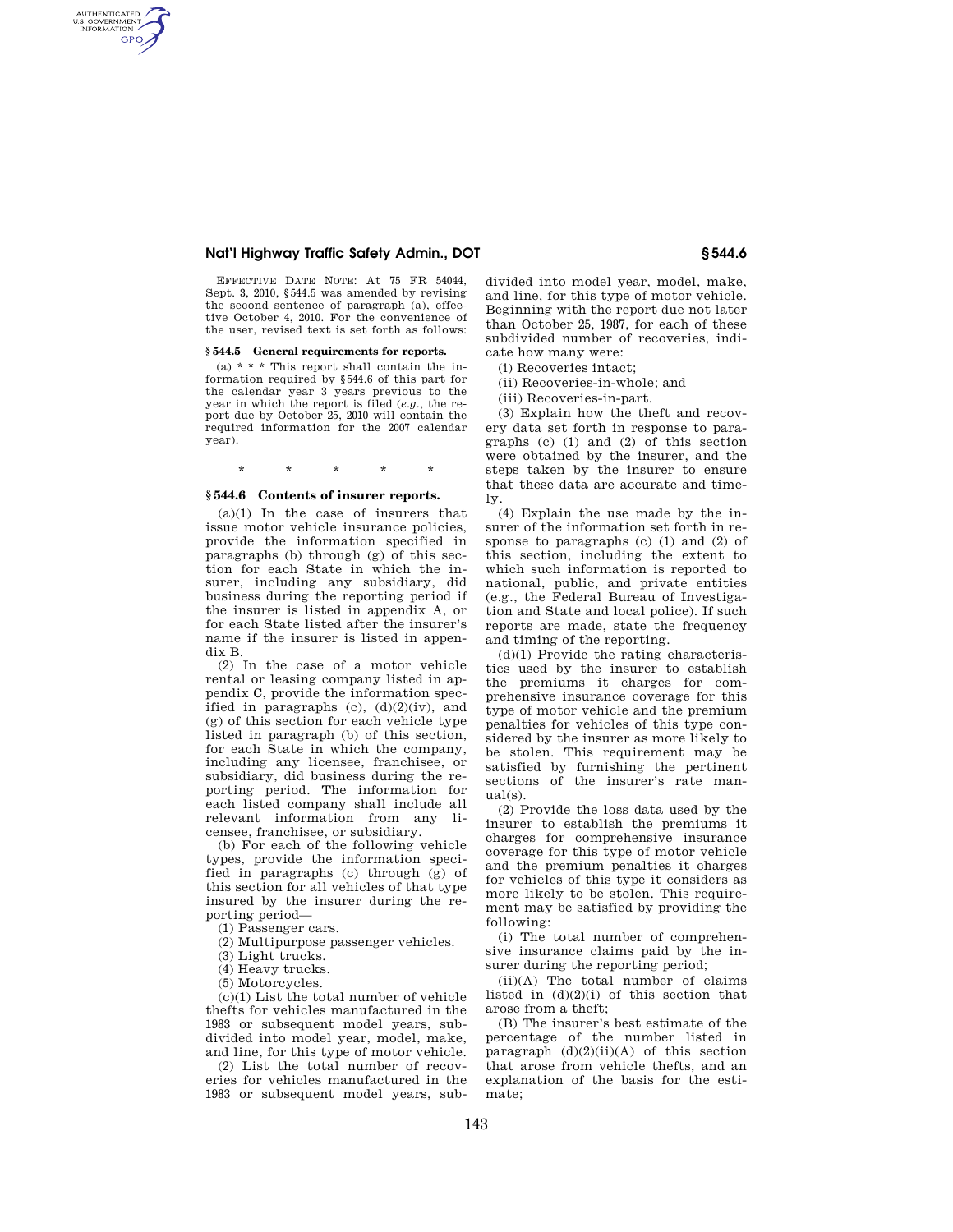## **Nat'l Highway Traffic Safety Admin., DOT § 544.6**

AUTHENTICATED<br>U.S. GOVERNMENT<br>INFORMATION **GPO** 

> EFFECTIVE DATE NOTE: At 75 FR 54044, Sept. 3, 2010, §544.5 was amended by revising the second sentence of paragraph (a), effective October 4, 2010. For the convenience of the user, revised text is set forth as follows:

## **§ 544.5 General requirements for reports.**

(a)  $* * *$  This report shall contain the information required by §544.6 of this part for the calendar year 3 years previous to the year in which the report is filed (*e.g.,* the report due by October 25, 2010 will contain the required information for the 2007 calendar year).

\* \* \* \* \*

### **§ 544.6 Contents of insurer reports.**

(a)(1) In the case of insurers that issue motor vehicle insurance policies, provide the information specified in paragraphs (b) through (g) of this section for each State in which the insurer, including any subsidiary, did business during the reporting period if the insurer is listed in appendix A, or for each State listed after the insurer's name if the insurer is listed in appendix B.

(2) In the case of a motor vehicle rental or leasing company listed in appendix C, provide the information specified in paragraphs  $(c)$ ,  $(d)(2)(iv)$ , and (g) of this section for each vehicle type listed in paragraph (b) of this section, for each State in which the company, including any licensee, franchisee, or subsidiary, did business during the reporting period. The information for each listed company shall include all relevant information from any licensee, franchisee, or subsidiary.

(b) For each of the following vehicle types, provide the information specified in paragraphs (c) through (g) of this section for all vehicles of that type insured by the insurer during the reporting period—

(1) Passenger cars.

(2) Multipurpose passenger vehicles.

(3) Light trucks.

(4) Heavy trucks.

(5) Motorcycles.

(c)(1) List the total number of vehicle thefts for vehicles manufactured in the 1983 or subsequent model years, subdivided into model year, model, make, and line, for this type of motor vehicle.

(2) List the total number of recoveries for vehicles manufactured in the 1983 or subsequent model years, sub-

divided into model year, model, make, and line, for this type of motor vehicle. Beginning with the report due not later than October 25, 1987, for each of these subdivided number of recoveries, indicate how many were:

(i) Recoveries intact;

(ii) Recoveries-in-whole; and

(iii) Recoveries-in-part.

(3) Explain how the theft and recovery data set forth in response to paragraphs (c) (1) and (2) of this section were obtained by the insurer, and the steps taken by the insurer to ensure that these data are accurate and timely.

(4) Explain the use made by the insurer of the information set forth in response to paragraphs (c) (1) and (2) of this section, including the extent to which such information is reported to national, public, and private entities (e.g., the Federal Bureau of Investigation and State and local police). If such reports are made, state the frequency and timing of the reporting.

(d)(1) Provide the rating characteristics used by the insurer to establish the premiums it charges for comprehensive insurance coverage for this type of motor vehicle and the premium penalties for vehicles of this type considered by the insurer as more likely to be stolen. This requirement may be satisfied by furnishing the pertinent sections of the insurer's rate manual(s).

(2) Provide the loss data used by the insurer to establish the premiums it charges for comprehensive insurance coverage for this type of motor vehicle and the premium penalties it charges for vehicles of this type it considers as more likely to be stolen. This requirement may be satisfied by providing the following:

(i) The total number of comprehensive insurance claims paid by the insurer during the reporting period;

(ii)(A) The total number of claims listed in  $(d)(2)(i)$  of this section that arose from a theft;

(B) The insurer's best estimate of the percentage of the number listed in paragraph  $(d)(2)(ii)(A)$  of this section that arose from vehicle thefts, and an explanation of the basis for the estimate;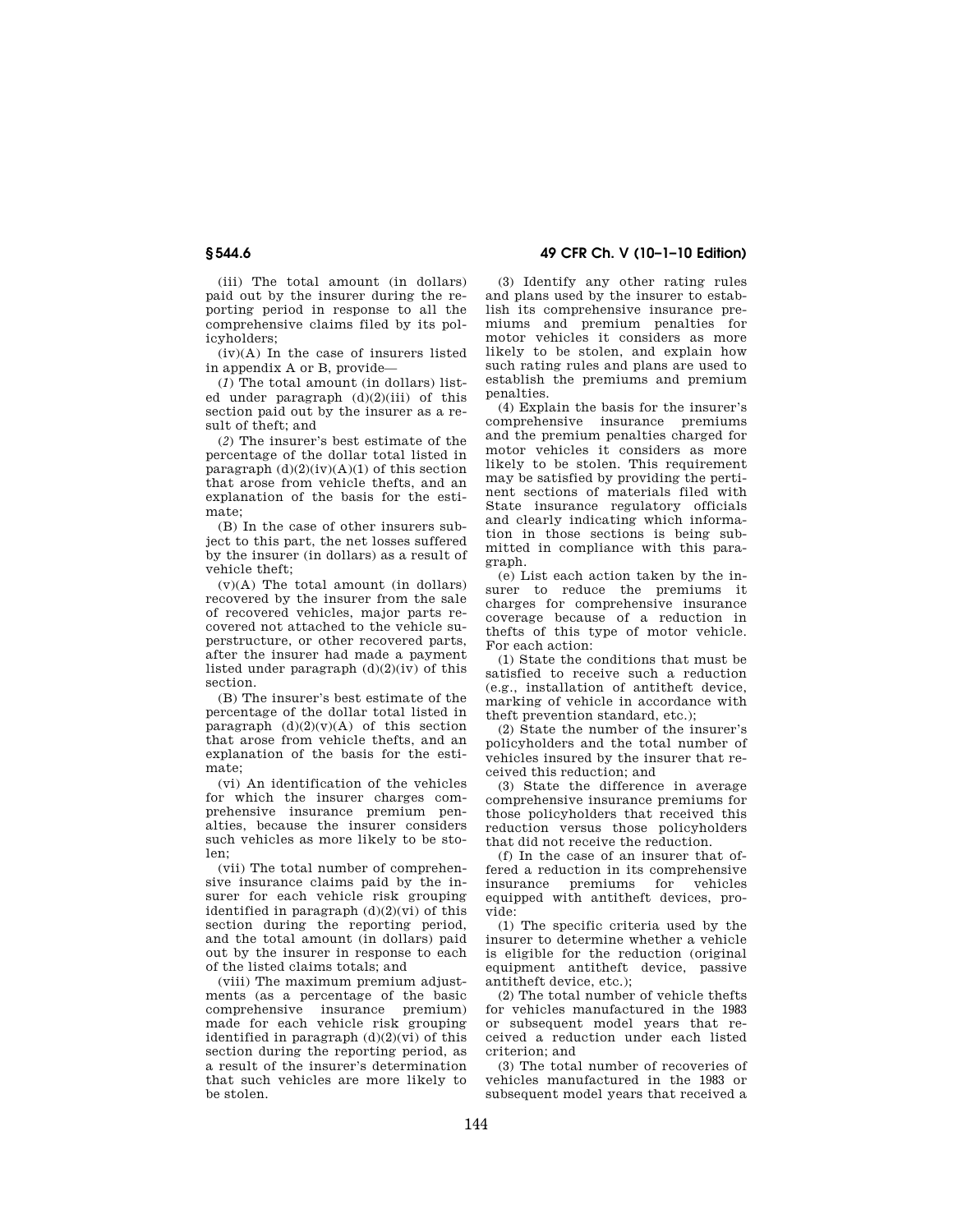(iii) The total amount (in dollars) paid out by the insurer during the reporting period in response to all the comprehensive claims filed by its policyholders;

(iv)(A) In the case of insurers listed in appendix A or B, provide—

(*1*) The total amount (in dollars) listed under paragraph  $(d)(2)(iii)$  of this section paid out by the insurer as a result of theft; and

(*2*) The insurer's best estimate of the percentage of the dollar total listed in paragraph  $(d)(2)(iv)(A)(1)$  of this section that arose from vehicle thefts, and an explanation of the basis for the estimate;

(B) In the case of other insurers subject to this part, the net losses suffered by the insurer (in dollars) as a result of vehicle theft;

(v)(A) The total amount (in dollars) recovered by the insurer from the sale of recovered vehicles, major parts recovered not attached to the vehicle superstructure, or other recovered parts, after the insurer had made a payment listed under paragraph (d)(2)(iv) of this section.

(B) The insurer's best estimate of the percentage of the dollar total listed in paragraph  $(d)(2)(v)(A)$  of this section that arose from vehicle thefts, and an explanation of the basis for the estimate;

(vi) An identification of the vehicles for which the insurer charges comprehensive insurance premium penalties, because the insurer considers such vehicles as more likely to be stolen;

(vii) The total number of comprehensive insurance claims paid by the insurer for each vehicle risk grouping identified in paragraph  $(d)(2)(vi)$  of this section during the reporting period, and the total amount (in dollars) paid out by the insurer in response to each of the listed claims totals; and

(viii) The maximum premium adjustments (as a percentage of the basic comprehensive insurance premium) made for each vehicle risk grouping identified in paragraph  $(d)(2)(vi)$  of this section during the reporting period, as a result of the insurer's determination that such vehicles are more likely to be stolen.

# **§ 544.6 49 CFR Ch. V (10–1–10 Edition)**

(3) Identify any other rating rules and plans used by the insurer to establish its comprehensive insurance premiums and premium penalties for motor vehicles it considers as more likely to be stolen, and explain how such rating rules and plans are used to establish the premiums and premium penalties.

(4) Explain the basis for the insurer's comprehensive insurance premiums and the premium penalties charged for motor vehicles it considers as more likely to be stolen. This requirement may be satisfied by providing the pertinent sections of materials filed with State insurance regulatory officials and clearly indicating which information in those sections is being submitted in compliance with this paragraph.

(e) List each action taken by the insurer to reduce the premiums it charges for comprehensive insurance coverage because of a reduction in thefts of this type of motor vehicle. For each action:

(1) State the conditions that must be satisfied to receive such a reduction (e.g., installation of antitheft device, marking of vehicle in accordance with theft prevention standard, etc.);

(2) State the number of the insurer's policyholders and the total number of vehicles insured by the insurer that received this reduction; and

(3) State the difference in average comprehensive insurance premiums for those policyholders that received this reduction versus those policyholders that did not receive the reduction.

(f) In the case of an insurer that offered a reduction in its comprehensive insurance premiums for vehicles equipped with antitheft devices, provide:

(1) The specific criteria used by the insurer to determine whether a vehicle is eligible for the reduction (original equipment antitheft device, passive antitheft device, etc.);

(2) The total number of vehicle thefts for vehicles manufactured in the 1983 or subsequent model years that received a reduction under each listed criterion; and

(3) The total number of recoveries of vehicles manufactured in the 1983 or subsequent model years that received a